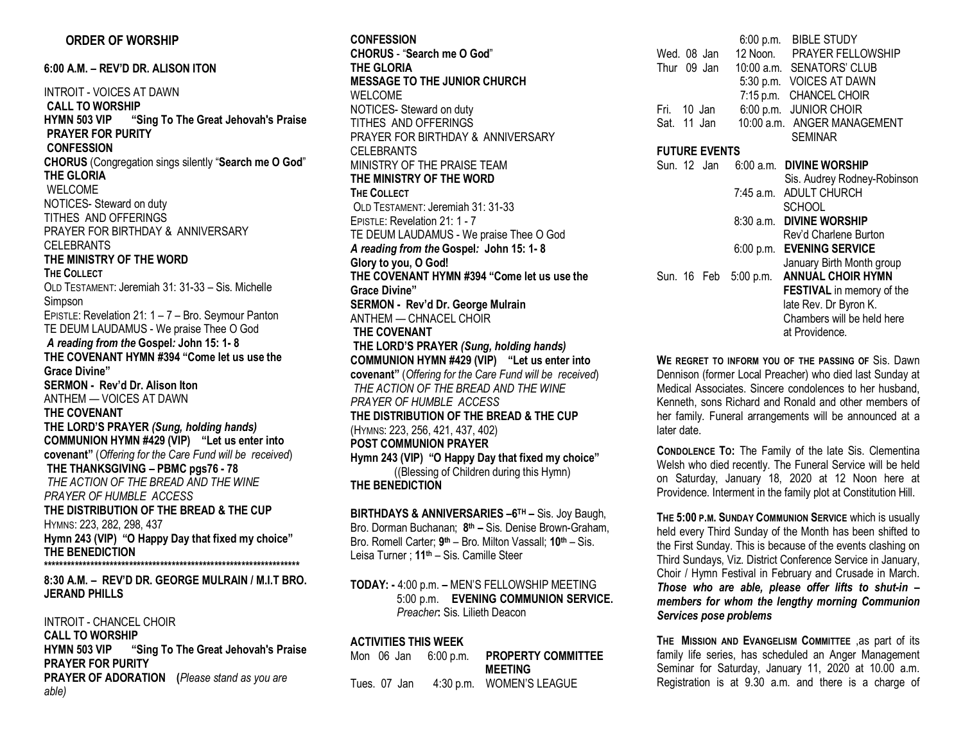#### **ORDER OF WORSHIP**

### **6:00 A.M. – REV'D DR. ALISON ITON**

INTROIT - VOICES AT DAWN **CALL TO WORSHIP HYMN 503 VIP "Sing To The Great Jehovah's Praise PRAYER FOR PURITY CONFESSION CHORUS** (Congregation sings silently "**Search me O God**" **THE GLORIA** WELCOME NOTICES- Steward on duty TITHES AND OFFERINGS PRAYER FOR BIRTHDAY & ANNIVERSARY CELEBRANTS **THE MINISTRY OF THE WORD THE COLLECT** OLD TESTAMENT: Jeremiah 31: 31-33 – Sis. Michelle Simpson EPISTLE: Revelation 21: 1 – 7 – Bro. Seymour Panton TE DEUM LAUDAMUS - We praise Thee O God *A reading from the* **Gospel***:* **John 15: 1- 8 THE COVENANT HYMN #394 "Come let us use the Grace Divine" SERMON - Rev'd Dr. Alison Iton** ANTHEM — VOICES AT DAWN **THE COVENANT THE LORD'S PRAYER** *(Sung, holding hands)* **COMMUNION HYMN #429 (VIP) "Let us enter into covenant"** (*Offering for the Care Fund will be received*) **THE THANKSGIVING – PBMC pgs76 - 78** *THE ACTION OF THE BREAD AND THE WINE PRAYER OF HUMBLE ACCESS* **THE DISTRIBUTION OF THE BREAD & THE CUP** HYMNS: 223, 282, 298, 437 **Hymn 243 (VIP) "O Happy Day that fixed my choice" THE BENEDICTION \*\*\*\*\*\*\*\*\*\*\*\*\*\*\*\*\*\*\*\*\*\*\*\*\*\*\*\*\*\*\*\*\*\*\*\*\*\*\*\*\*\*\*\*\*\*\*\*\*\*\*\*\*\*\*\*\*\*\*\*\*\*\*\*\*\***

**8:30 A.M. – REV'D DR. GEORGE MULRAIN / M.I.T BRO. JERAND PHILLS**

INTROIT - CHANCEL CHOIR **CALL TO WORSHIP HYMN 503 VIP "Sing To The Great Jehovah's Praise PRAYER FOR PURITY PRAYER OF ADORATION (***Please stand as you are able)*

**CONFESSION CHORUS** - "**Search me O God**" **THE GLORIA MESSAGE TO THE JUNIOR CHURCH** WELCOME NOTICES- Steward on duty TITHES AND OFFERINGS PRAYER FOR BIRTHDAY & ANNIVERSARY CELEBRANTS MINISTRY OF THE PRAISE TEAM **THE MINISTRY OF THE WORD THE COLLECT** OLD TESTAMENT: Jeremiah 31: 31-33 EPISTLE: Revelation 21: 1 - 7 TE DEUM LAUDAMUS - We praise Thee O God *A reading from the* **Gospel***:* **John 15: 1- 8 Glory to you, O God! THE COVENANT HYMN #394 "Come let us use the Grace Divine" SERMON - Rev'd Dr. George Mulrain** ANTHEM — CHNACEL CHOIR **THE COVENANT THE LORD'S PRAYER** *(Sung, holding hands)* **COMMUNION HYMN #429 (VIP) "Let us enter into covenant"** (*Offering for the Care Fund will be received*) *THE ACTION OF THE BREAD AND THE WINE PRAYER OF HUMBLE ACCESS* **THE DISTRIBUTION OF THE BREAD & THE CUP** (HYMNS: 223, 256, 421, 437, 402) **POST COMMUNION PRAYER Hymn 243 (VIP) "O Happy Day that fixed my choice"** ((Blessing of Children during this Hymn) **THE BENEDICTION**

**BIRTHDAYS & ANNIVERSARIES –6TH –** Sis. Joy Baugh, Bro. Dorman Buchanan; **8th –** Sis. Denise Brown-Graham, Bro. Romell Carter; **9th** – Bro. Milton Vassall; **10th** – Sis. Leisa Turner ; **11th** – Sis. Camille Steer

```
TODAY: - 4:00 p.m. – MEN'S FELLOWSHIP MEETING
5:00 p.m. EVENING COMMUNION SERVICE. 
Preacher: Sis. Lilieth Deacon
```
## **ACTIVITIES THIS WEEK**

| Mon 06 Jan   | 6:00 p.m. | <b>PROPERTY COMMITTEE</b> |
|--------------|-----------|---------------------------|
|              |           | <b>MEETING</b>            |
| Tues, 07 Jan |           | 4:30 p.m. WOMEN'S LEAGUE  |

|             |                      | $6:00$ p.m.           | <b>BIBLE STUDY</b>               |
|-------------|----------------------|-----------------------|----------------------------------|
|             | Wed. 08 Jan          |                       | 12 Noon. PRAYER FELLOWSHIP       |
| Thur 09 Jan |                      | $10:00$ a.m.          | <b>SENATORS' CLUB</b>            |
|             |                      | 5:30 p.m.             | <b>VOICES AT DAWN</b>            |
|             |                      | 7:15 p.m.             | <b>CHANCEL CHOIR</b>             |
| Fri. 10 Jan |                      | 6:00 p.m.             | <b>JUNIOR CHOIR</b>              |
| Sat. 11 Jan |                      |                       | 10:00 a.m. ANGER MANAGEMENT      |
|             |                      |                       | SEMINAR                          |
|             | <b>FUTURE EVENTS</b> |                       |                                  |
| Sun. 12 Jan |                      |                       | 6:00 a.m. DIVINE WORSHIP         |
|             |                      |                       | Sis. Audrey Rodney-Robinson      |
|             |                      | 7:45 a.m.             | <b>ADULT CHURCH</b>              |
|             |                      |                       | <b>SCHOOL</b>                    |
|             |                      | 8:30 a.m.             | <b>DIVINE WORSHIP</b>            |
|             |                      |                       | Rev'd Charlene Burton            |
|             |                      | 6:00 p.m.             | <b>EVENING SERVICE</b>           |
|             |                      |                       | January Birth Month group        |
|             |                      | Sun. 16 Feb 5:00 p.m. | <b>ANNUAL CHOIR HYMN</b>         |
|             |                      |                       | <b>FESTIVAL</b> in memory of the |
|             |                      |                       | late Rev. Dr Byron K.            |
|             |                      |                       | Chambers will be held here       |
|             |                      |                       | at Providence                    |

**WE REGRET TO INFORM YOU OF THE PASSING OF** Sis. Dawn Dennison (former Local Preacher) who died last Sunday at Medical Associates. Sincere condolences to her husband, Kenneth, sons Richard and Ronald and other members of her family. Funeral arrangements will be announced at a later date.

**CONDOLENCE TO:** The Family of the late Sis. Clementina Welsh who died recently. The Funeral Service will be held on Saturday, January 18, 2020 at 12 Noon here at Providence. Interment in the family plot at Constitution Hill.

**THE 5:00 P.M. SUNDAY COMMUNION SERVICE** which is usually held every Third Sunday of the Month has been shifted to the First Sunday. This is because of the events clashing on Third Sundays, Viz. District Conference Service in January, Choir / Hymn Festival in February and Crusade in March. *Those who are able, please offer lifts to shut-in – members for whom the lengthy morning Communion Services pose problems*

**THE MISSION AND EVANGELISM COMMITTEE** ,as part of its family life series, has scheduled an Anger Management Seminar for Saturday, January 11, 2020 at 10.00 a.m. Registration is at 9.30 a.m. and there is a charge of